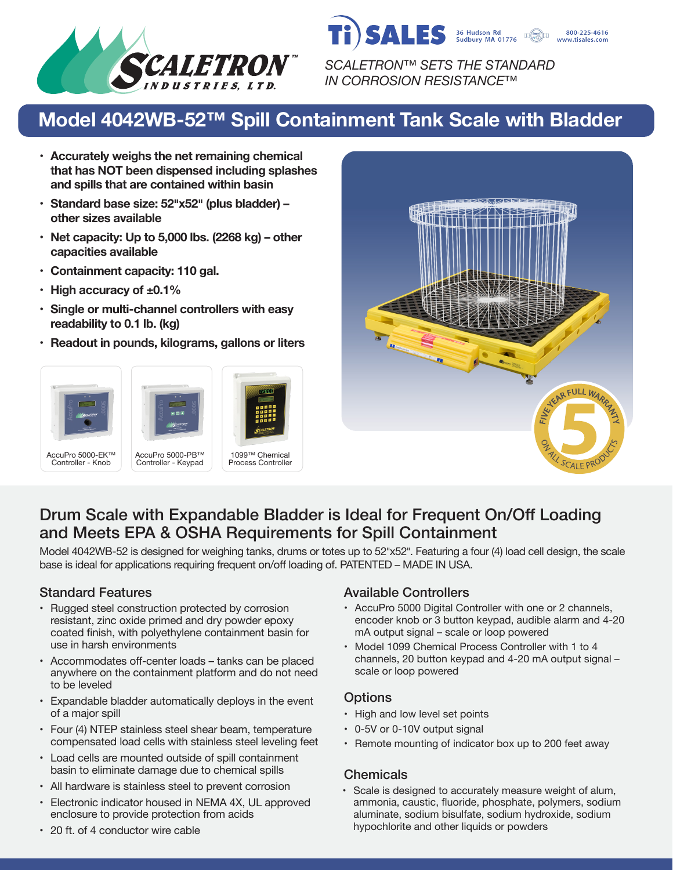

*SCALETRON™ SETS THE STANDARD IN CORROSION RESISTANCE™*

36 Hudson <mark>Rd</mark><br>Sudbury MA 01776

800-225-4616 www.tisales.com

SALES

# **Model 4042WB-52™ Spill Containment Tank Scale with Bladder**

- **• Accurately weighs the net remaining chemical that has NOT been dispensed including splashes and spills that are contained within basin**
- **• Standard base size: 52�x52� (plus bladder) – other sizes available**
- **• Net capacity: Up to 5,000 lbs. (2268 kg) – other capacities available**
- **• Containment capacity: 110 gal.**
- **• High accuracy of ±0.1%**
- **• Single or multi-channel controllers with easy readability to 0.1 lb. (kg)**
- **• Readout in pounds, kilograms, gallons or liters**









## Drum Scale with Expandable Bladder is Ideal for Frequent On/Off Loading and Meets EPA & OSHA Requirements for Spill Containment

Model 4042WB-52 is designed for weighing tanks, drums or totes up to 52"x52". Featuring a four (4) load cell design, the scale base is ideal for applications requiring frequent on/off loading of. PATENTED – MADE IN USA.

- Rugged steel construction protected by corrosion resistant, zinc oxide primed and dry powder epoxy coated finish, with polyethylene containment basin for use in harsh environments
- Accommodates off-center loads tanks can be placed anywhere on the containment platform and do not need to be leveled
- Expandable bladder automatically deploys in the event of a major spill
- Four (4) NTEP stainless steel shear beam, temperature compensated load cells with stainless steel leveling feet
- Load cells are mounted outside of spill containment basin to eliminate damage due to chemical spills
- All hardware is stainless steel to prevent corrosion
- Electronic indicator housed in NEMA 4X, UL approved enclosure to provide protection from acids

### Standard Features **Available Controllers** Available Controllers

- AccuPro 5000 Digital Controller with one or 2 channels, encoder knob or 3 button keypad, audible alarm and 4-20 mA output signal – scale or loop powered
- Model 1099 Chemical Process Controller with 1 to 4 channels, 20 button keypad and 4-20 mA output signal – scale or loop powered

### **Options**

- High and low level set points
- 0-5V or 0-10V output signal
- Remote mounting of indicator box up to 200 feet away

#### **Chemicals**

• Scale is designed to accurately measure weight of alum, ammonia, caustic, fluoride, phosphate, polymers, sodium aluminate, sodium bisulfate, sodium hydroxide, sodium hypochlorite and other liquids or powders

• 20 ft. of 4 conductor wire cable